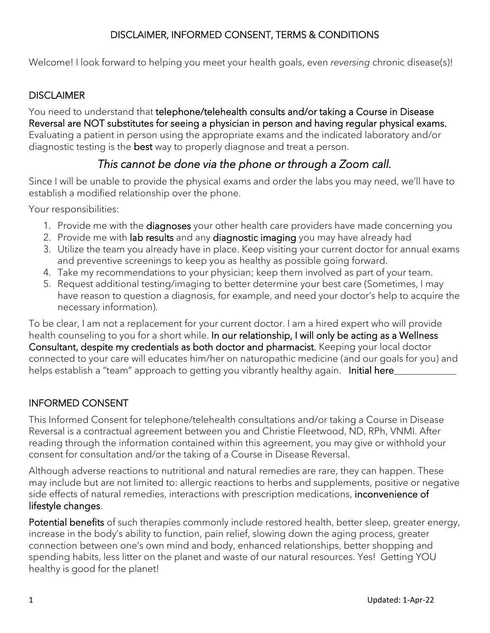Welcome! I look forward to helping you meet your health goals, even *reversing* chronic disease(s)!

#### **DISCLAIMER**

You need to understand that telephone/telehealth consults and/or taking a Course in Disease Reversal are NOT substitutes for seeing a physician in person and having regular physical exams. Evaluating a patient in person using the appropriate exams and the indicated laboratory and/or diagnostic testing is the **best** way to properly diagnose and treat a person.

## *This cannot be done via the phone or through a Zoom call.*

Since I will be unable to provide the physical exams and order the labs you may need, we'll have to establish a modified relationship over the phone.

Your responsibilities:

- 1. Provide me with the diagnoses your other health care providers have made concerning you
- 2. Provide me with lab results and any diagnostic imaging you may have already had
- 3. Utilize the team you already have in place. Keep visiting your current doctor for annual exams and preventive screenings to keep you as healthy as possible going forward.
- 4. Take my recommendations to your physician; keep them involved as part of your team.
- 5. Request additional testing/imaging to better determine your best care (Sometimes, I may have reason to question a diagnosis, for example, and need your doctor's help to acquire the necessary information).

To be clear, I am not a replacement for your current doctor. I am a hired expert who will provide health counseling to you for a short while. In our relationship, I will only be acting as a Wellness Consultant, despite my credentials as both doctor and pharmacist. Keeping your local doctor connected to your care will educates him/her on naturopathic medicine (and our goals for you) and helps establish a "team" approach to getting you vibrantly healthy again. Initial here\_

### INFORMED CONSENT

This Informed Consent for telephone/telehealth consultations and/or taking a Course in Disease Reversal is a contractual agreement between you and Christie Fleetwood, ND, RPh, VNMI. After reading through the information contained within this agreement, you may give or withhold your consent for consultation and/or the taking of a Course in Disease Reversal.

Although adverse reactions to nutritional and natural remedies are rare, they can happen. These may include but are not limited to: allergic reactions to herbs and supplements, positive or negative side effects of natural remedies, interactions with prescription medications, inconvenience of lifestyle changes.

Potential benefits of such therapies commonly include restored health, better sleep, greater energy, increase in the body's ability to function, pain relief, slowing down the aging process, greater connection between one's own mind and body, enhanced relationships, better shopping and spending habits, less litter on the planet and waste of our natural resources. Yes! Getting YOU healthy is good for the planet!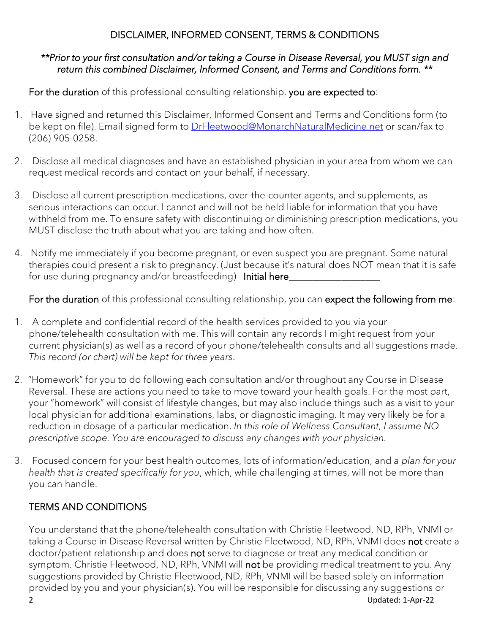#### *\*\*Prior to your first consultation and/or taking a Course in Disease Reversal, you MUST sign and return this combined Disclaimer, Informed Consent, and Terms and Conditions form. \*\**

For the duration of this professional consulting relationship, you are expected to:

- 1. Have signed and returned this Disclaimer, Informed Consent and Terms and Conditions form (to be kept on file). Email signed form to **DrFleetwood@MonarchNaturalMedicine.net or scan/fax to** (206) 905-0258.
- 2. Disclose all medical diagnoses and have an established physician in your area from whom we can request medical records and contact on your behalf, if necessary.
- 3. Disclose all current prescription medications, over-the-counter agents, and supplements, as serious interactions can occur. I cannot and will not be held liable for information that you have withheld from me. To ensure safety with discontinuing or diminishing prescription medications, you MUST disclose the truth about what you are taking and how often.
- 4. Notify me immediately if you become pregnant, or even suspect you are pregnant. Some natural therapies could present a risk to pregnancy. (Just because it's natural does NOT mean that it is safe for use during pregnancy and/or breastfeeding) Initial here

For the duration of this professional consulting relationship, you can expect the following from me:

- 1. A complete and confidential record of the health services provided to you via your phone/telehealth consultation with me. This will contain any records I might request from your current physician(s) as well as a record of your phone/telehealth consults and all suggestions made. *This record (or chart) will be kept for three years*.
- 2. "Homework" for you to do following each consultation and/or throughout any Course in Disease Reversal. These are actions you need to take to move toward your health goals. For the most part, your "homework" will consist of lifestyle changes, but may also include things such as a visit to your local physician for additional examinations, labs, or diagnostic imaging. It may very likely be for a reduction in dosage of a particular medication. *In this role of Wellness Consultant, I assume NO prescriptive scope. You are encouraged to discuss any changes with your physician.*
- 3. Focused concern for your best health outcomes, lots of information/education, and *a plan for your health that is created specifically for you*, which, while challenging at times, will not be more than you can handle.

### TERMS AND CONDITIONS

You understand that the phone/telehealth consultation with Christie Fleetwood, ND, RPh, VNMI or taking a Course in Disease Reversal written by Christie Fleetwood, ND, RPh, VNMI does not create a doctor/patient relationship and does not serve to diagnose or treat any medical condition or symptom. Christie Fleetwood, ND, RPh, VNMI will not be providing medical treatment to you. Any suggestions provided by Christie Fleetwood, ND, RPh, VNMI will be based solely on information provided by you and your physician(s). You will be responsible for discussing any suggestions or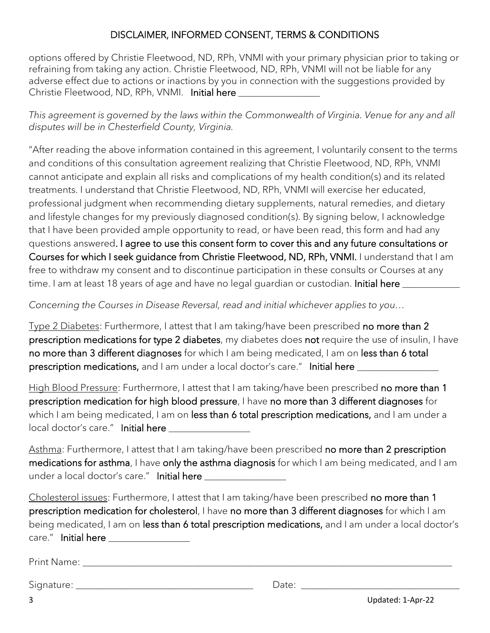options offered by Christie Fleetwood, ND, RPh, VNMI with your primary physician prior to taking or refraining from taking any action. Christie Fleetwood, ND, RPh, VNMI will not be liable for any adverse effect due to actions or inactions by you in connection with the suggestions provided by Christie Fleetwood, ND, RPh, VNMI. Initial here

*This agreement is governed by the laws within the Commonwealth of Virginia. Venue for any and all disputes will be in Chesterfield County, Virginia.*

"After reading the above information contained in this agreement, I voluntarily consent to the terms and conditions of this consultation agreement realizing that Christie Fleetwood, ND, RPh, VNMI cannot anticipate and explain all risks and complications of my health condition(s) and its related treatments. I understand that Christie Fleetwood, ND, RPh, VNMI will exercise her educated, professional judgment when recommending dietary supplements, natural remedies, and dietary and lifestyle changes for my previously diagnosed condition(s). By signing below, I acknowledge that I have been provided ample opportunity to read, or have been read, this form and had any questions answered. I agree to use this consent form to cover this and any future consultations or Courses for which I seek guidance from Christie Fleetwood, ND, RPh, VNMI. I understand that I am free to withdraw my consent and to discontinue participation in these consults or Courses at any time. I am at least 18 years of age and have no legal quardian or custodian. Initial here

*Concerning the Courses in Disease Reversal, read and initial whichever applies to you…*

Type 2 Diabetes: Furthermore, I attest that I am taking/have been prescribed no more than 2 prescription medications for type 2 diabetes, my diabetes does not require the use of insulin, I have no more than 3 different diagnoses for which I am being medicated, I am on less than 6 total prescription medications, and I am under a local doctor's care." Initial here **we are the set of the set of the** 

High Blood Pressure: Furthermore, I attest that I am taking/have been prescribed no more than 1 prescription medication for high blood pressure, I have no more than 3 different diagnoses for which I am being medicated, I am on less than 6 total prescription medications, and I am under a local doctor's care." Initial here

Asthma: Furthermore, I attest that I am taking/have been prescribed no more than 2 prescription medications for asthma, I have only the asthma diagnosis for which I am being medicated, and I am under a local doctor's care." Initial here \_\_\_\_\_\_\_\_\_\_\_\_\_\_\_\_\_

Cholesterol issues: Furthermore, I attest that I am taking/have been prescribed no more than 1 prescription medication for cholesterol, I have no more than 3 different diagnoses for which I am being medicated, I am on less than 6 total prescription medications, and I am under a local doctor's care." Initial here

Print Name: \_\_\_\_\_\_\_\_\_\_\_\_\_\_\_\_\_\_\_\_\_\_\_\_\_\_\_\_\_\_\_\_\_\_\_\_\_\_\_\_\_\_\_\_\_\_\_\_\_\_\_\_\_\_\_\_\_\_\_\_\_\_\_\_\_\_\_\_\_\_\_\_\_\_\_\_\_

Signature:  $\Box$